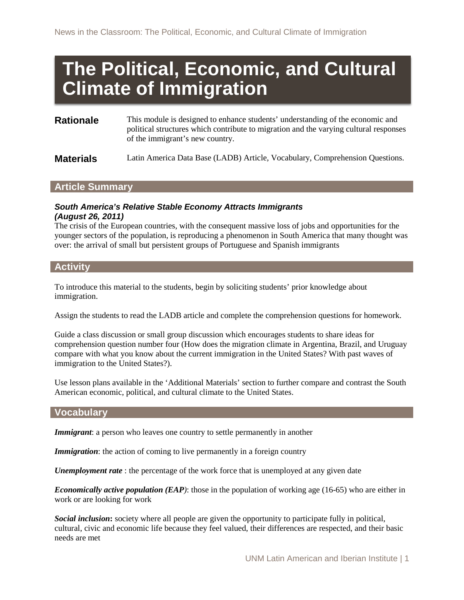# **The Political, Economic, and Cultural Climate of Immigration**

| <b>Rationale</b> | This module is designed to enhance students' understanding of the economic and<br>political structures which contribute to migration and the varying cultural responses<br>of the immigrant's new country. |
|------------------|------------------------------------------------------------------------------------------------------------------------------------------------------------------------------------------------------------|
| <b>Materials</b> | Latin America Data Base (LADB) Article, Vocabulary, Comprehension Questions.                                                                                                                               |

# **Article Summary**

#### *South America's Relative Stable Economy Attracts Immigrants (August 26, 2011)*

The crisis of the European countries, with the consequent massive loss of jobs and opportunities for the younger sectors of the population, is reproducing a phenomenon in South America that many thought was over: the arrival of small but persistent groups of Portuguese and Spanish immigrants

# **Activity**

To introduce this material to the students, begin by soliciting students' prior knowledge about immigration.

Assign the students to read the LADB article and complete the comprehension questions for homework.

Guide a class discussion or small group discussion which encourages students to share ideas for comprehension question number four (How does the migration climate in Argentina, Brazil, and Uruguay compare with what you know about the current immigration in the United States? With past waves of immigration to the United States?).

Use lesson plans available in the 'Additional Materials' section to further compare and contrast the South American economic, political, and cultural climate to the United States.

## **Vocabulary**

*Immigrant*: a person who leaves one country to settle permanently in another

*Immigration:* the action of coming to live permanently in a foreign country

*Unemployment rate* : the percentage of the work force that is unemployed at any given date

*Economically active population (EAP)*: those in the population of working age (16-65) who are either in work or are looking for work

*Social inclusion***:** society where all people are given the opportunity to participate fully in political, cultural, civic and economic life because they feel valued, their differences are respected, and their basic needs are met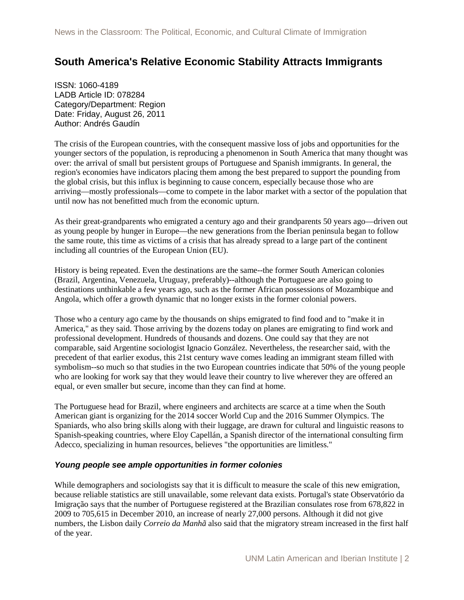# **South America's Relative Economic Stability Attracts Immigrants**

ISSN: 1060-4189 LADB Article ID: 078284 Category/Department: Region Date: Friday, August 26, 2011 Author: Andrés Gaudín

The crisis of the European countries, with the consequent massive loss of jobs and opportunities for the younger sectors of the population, is reproducing a phenomenon in South America that many thought was over: the arrival of small but persistent groups of Portuguese and Spanish immigrants. In general, the region's economies have indicators placing them among the best prepared to support the pounding from the global crisis, but this influx is beginning to cause concern, especially because those who are arriving—mostly professionals—come to compete in the labor market with a sector of the population that until now has not benefitted much from the economic upturn.

As their great-grandparents who emigrated a century ago and their grandparents 50 years ago—driven out as young people by hunger in Europe—the new generations from the Iberian peninsula began to follow the same route, this time as victims of a crisis that has already spread to a large part of the continent including all countries of the European Union (EU).

History is being repeated. Even the destinations are the same--the former South American colonies (Brazil, Argentina, Venezuela, Uruguay, preferably)--although the Portuguese are also going to destinations unthinkable a few years ago, such as the former African possessions of Mozambique and Angola, which offer a growth dynamic that no longer exists in the former colonial powers.

Those who a century ago came by the thousands on ships emigrated to find food and to "make it in America," as they said. Those arriving by the dozens today on planes are emigrating to find work and professional development. Hundreds of thousands and dozens. One could say that they are not comparable, said Argentine sociologist Ignacio González. Nevertheless, the researcher said, with the precedent of that earlier exodus, this 21st century wave comes leading an immigrant steam filled with symbolism--so much so that studies in the two European countries indicate that 50% of the young people who are looking for work say that they would leave their country to live wherever they are offered an equal, or even smaller but secure, income than they can find at home.

The Portuguese head for Brazil, where engineers and architects are scarce at a time when the South American giant is organizing for the 2014 soccer World Cup and the 2016 Summer Olympics. The Spaniards, who also bring skills along with their luggage, are drawn for cultural and linguistic reasons to Spanish-speaking countries, where Eloy Capellán, a Spanish director of the international consulting firm Adecco, specializing in human resources, believes "the opportunities are limitless."

#### *Young people see ample opportunities in former colonies*

While demographers and sociologists say that it is difficult to measure the scale of this new emigration, because reliable statistics are still unavailable, some relevant data exists. Portugal's state Observatório da Imigração says that the number of Portuguese registered at the Brazilian consulates rose from 678,822 in 2009 to 705,615 in December 2010, an increase of nearly 27,000 persons. Although it did not give numbers, the Lisbon daily *Correio da Manhã* also said that the migratory stream increased in the first half of the year.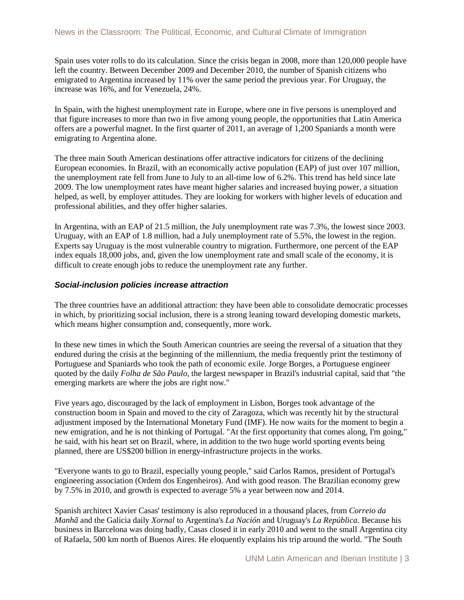Spain uses voter rolls to do its calculation. Since the crisis began in 2008, more than 120,000 people have left the country. Between December 2009 and December 2010, the number of Spanish citizens who emigrated to Argentina increased by 11% over the same period the previous year. For Uruguay, the increase was 16%, and for Venezuela, 24%.

In Spain, with the highest unemployment rate in Europe, where one in five persons is unemployed and that figure increases to more than two in five among young people, the opportunities that Latin America offers are a powerful magnet. In the first quarter of 2011, an average of 1,200 Spaniards a month were emigrating to Argentina alone.

The three main South American destinations offer attractive indicators for citizens of the declining European economies. In Brazil, with an economically active population (EAP) of just over 107 million, the unemployment rate fell from June to July to an all-time low of 6.2%. This trend has held since late 2009. The low unemployment rates have meant higher salaries and increased buying power, a situation helped, as well, by employer attitudes. They are looking for workers with higher levels of education and professional abilities, and they offer higher salaries.

In Argentina, with an EAP of 21.5 million, the July unemployment rate was 7.3%, the lowest since 2003. Uruguay, with an EAP of 1.8 million, had a July unemployment rate of 5.5%, the lowest in the region. Experts say Uruguay is the most vulnerable country to migration. Furthermore, one percent of the EAP index equals 18,000 jobs, and, given the low unemployment rate and small scale of the economy, it is difficult to create enough jobs to reduce the unemployment rate any further.

## *Social-inclusion policies increase attraction*

The three countries have an additional attraction: they have been able to consolidate democratic processes in which, by prioritizing social inclusion, there is a strong leaning toward developing domestic markets, which means higher consumption and, consequently, more work.

In these new times in which the South American countries are seeing the reversal of a situation that they endured during the crisis at the beginning of the millennium, the media frequently print the testimony of Portuguese and Spaniards who took the path of economic exile. Jorge Borges, a Portuguese engineer quoted by the daily *Folha de São Paulo*, the largest newspaper in Brazil's industrial capital, said that "the emerging markets are where the jobs are right now."

Five years ago, discouraged by the lack of employment in Lisbon, Borges took advantage of the construction boom in Spain and moved to the city of Zaragoza, which was recently hit by the structural adjustment imposed by the International Monetary Fund (IMF). He now waits for the moment to begin a new emigration, and he is not thinking of Portugal. "At the first opportunity that comes along, I'm going," he said, with his heart set on Brazil, where, in addition to the two huge world sporting events being planned, there are US\$200 billion in energy-infrastructure projects in the works.

"Everyone wants to go to Brazil, especially young people," said Carlos Ramos, president of Portugal's engineering association (Ordem dos Engenheiros). And with good reason. The Brazilian economy grew by 7.5% in 2010, and growth is expected to average 5% a year between now and 2014.

Spanish architect Xavier Casas' testimony is also reproduced in a thousand places, from *Correio da Manhã* and the Galicia daily *Xornal* to Argentina's *La Nación* and Uruguay's *La República*. Because his business in Barcelona was doing badly, Casas closed it in early 2010 and went to the small Argentina city of Rafaela, 500 km north of Buenos Aires. He eloquently explains his trip around the world. "The South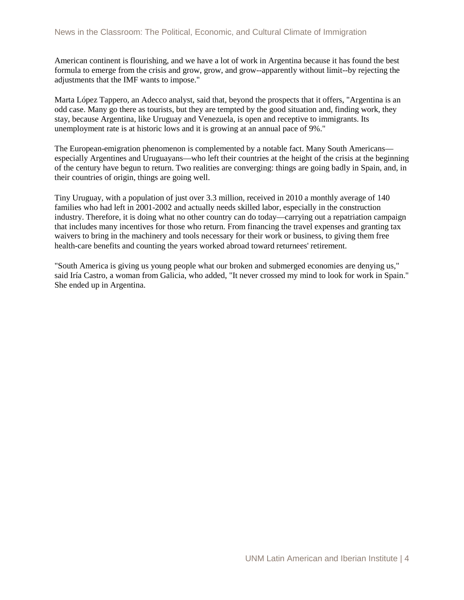American continent is flourishing, and we have a lot of work in Argentina because it has found the best formula to emerge from the crisis and grow, grow, and grow--apparently without limit--by rejecting the adjustments that the IMF wants to impose."

Marta López Tappero, an Adecco analyst, said that, beyond the prospects that it offers, "Argentina is an odd case. Many go there as tourists, but they are tempted by the good situation and, finding work, they stay, because Argentina, like Uruguay and Venezuela, is open and receptive to immigrants. Its unemployment rate is at historic lows and it is growing at an annual pace of 9%."

The European-emigration phenomenon is complemented by a notable fact. Many South Americans especially Argentines and Uruguayans—who left their countries at the height of the crisis at the beginning of the century have begun to return. Two realities are converging: things are going badly in Spain, and, in their countries of origin, things are going well.

Tiny Uruguay, with a population of just over 3.3 million, received in 2010 a monthly average of 140 families who had left in 2001-2002 and actually needs skilled labor, especially in the construction industry. Therefore, it is doing what no other country can do today—carrying out a repatriation campaign that includes many incentives for those who return. From financing the travel expenses and granting tax waivers to bring in the machinery and tools necessary for their work or business, to giving them free health-care benefits and counting the years worked abroad toward returnees' retirement.

"South America is giving us young people what our broken and submerged economies are denying us," said Iría Castro, a woman from Galicia, who added, "It never crossed my mind to look for work in Spain." She ended up in Argentina.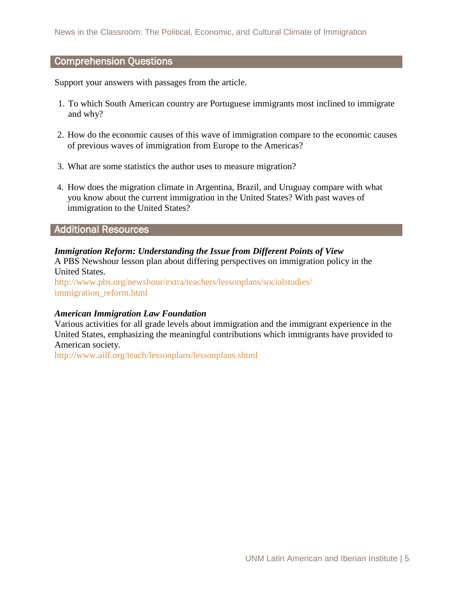# Comprehension Questions

Support your answers with passages from the article.

- 1. To which South American country are Portuguese immigrants most inclined to immigrate and why?
- 2. How do the economic causes of this wave of immigration compare to the economic causes of previous waves of immigration from Europe to the Americas?
- 3. What are some statistics the author uses to measure migration?
- 4. How does the migration climate in Argentina, Brazil, and Uruguay compare with what you know about the current immigration in the United States? With past waves of immigration to the United States?

## Additional Resources

## *Immigration Reform: Understanding the Issue from Different Points of View*

A PBS Newshour lesson plan about differing perspectives on immigration policy in the United States.

[http://www.pbs.org/newshour/extra/teachers/lessonplans/socialstudies/](http://www.pbs.org/newshour/extra/teachers/lessonplans/socialstudies/%20immigration_reform.html)  immigration reform.html

## *American Immigration Law Foundation*

Various activities for all grade levels about immigration and the immigrant experience in the United States, emphasizing the meaningful contributions which immigrants have provided to American society.

<http://www.ailf.org/teach/lessonplans/lessonplans.shtml>